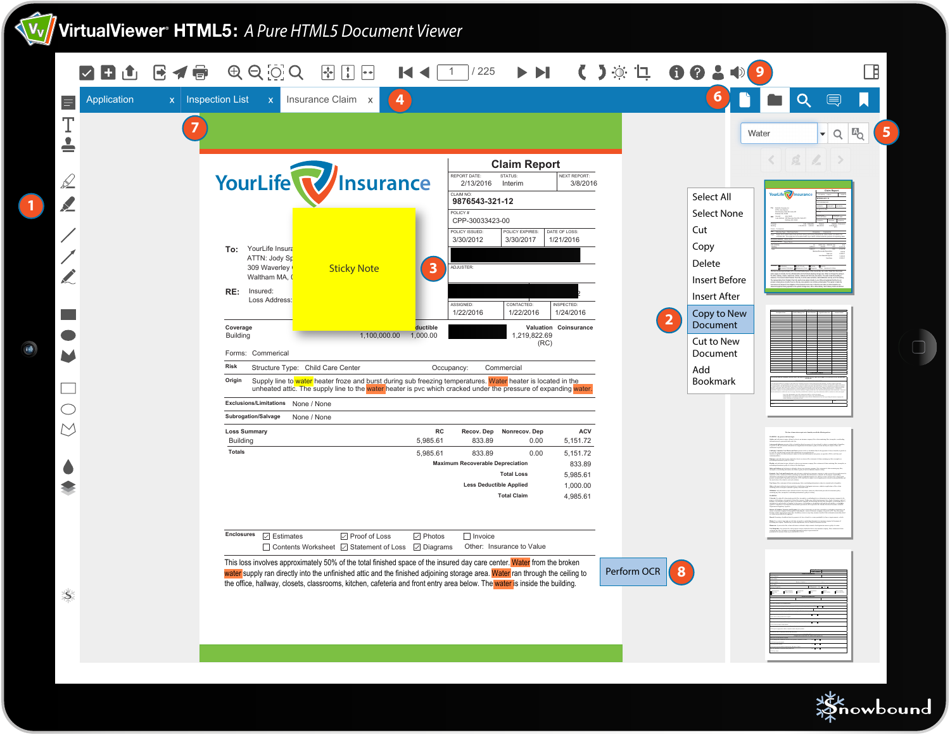# **VirtualViewer® HTML5:** *A Pure HTML5 Document Viewer*